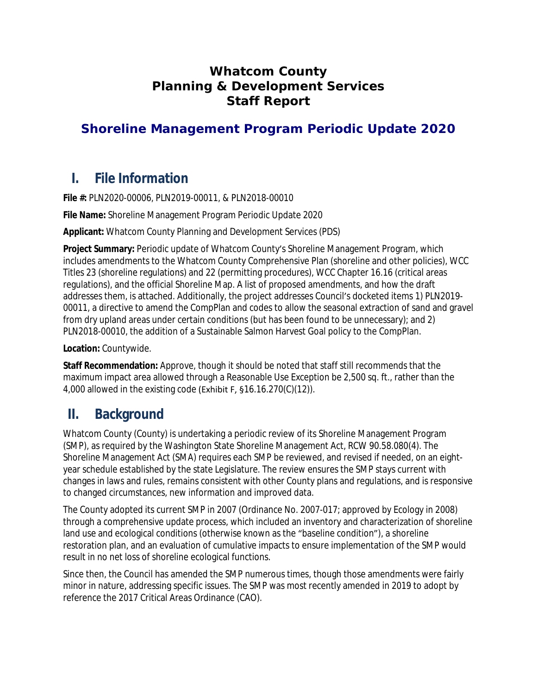# **Whatcom County Planning & Development Services Staff Report**

# **Shoreline Management Program Periodic Update 2020**

# **I. File Information**

**File #:** PLN2020-00006, PLN2019-00011, & PLN2018-00010

**File Name:** Shoreline Management Program Periodic Update 2020

**Applicant:** Whatcom County Planning and Development Services (PDS)

**Project Summary:** Periodic update of Whatcom County's Shoreline Management Program, which includes amendments to the Whatcom County Comprehensive Plan (shoreline and other policies), WCC Titles 23 (shoreline regulations) and 22 (permitting procedures), WCC Chapter 16.16 (critical areas regulations), and the official Shoreline Map. A list of proposed amendments, and how the draft addresses them, is attached. Additionally, the project addresses Council's docketed items 1) PLN2019- 00011, a directive to amend the CompPlan and codes to allow the seasonal extraction of sand and gravel from dry upland areas under certain conditions (but has been found to be unnecessary); and 2) PLN2018-00010, the addition of a Sustainable Salmon Harvest Goal policy to the CompPlan.

**Location:** Countywide.

**Staff Recommendation:** Approve, though it should be noted that staff still recommends that the maximum impact area allowed through a Reasonable Use Exception be 2,500 sq. ft., rather than the 4,000 allowed in the existing code (Exhibit F, §16.16.270(C)(12)).

# **II. Background**

Whatcom County (County) is undertaking a periodic review of its Shoreline Management Program (SMP), as required by the Washington State Shoreline Management Act, RCW 90.58.080(4). The Shoreline Management Act (SMA) requires each SMP be reviewed, and revised if needed, on an eightyear schedule established by the state Legislature. The review ensures the SMP stays current with changes in laws and rules, remains consistent with other County plans and regulations, and is responsive to changed circumstances, new information and improved data.

The County adopted its current SMP in 2007 (Ordinance No. 2007-017; approved by Ecology in 2008) through a comprehensive update process, which included an inventory and characterization of shoreline land use and ecological conditions (otherwise known as the "baseline condition"), a shoreline restoration plan, and an evaluation of cumulative impacts to ensure implementation of the SMP would result in no net loss of shoreline ecological functions.

Since then, the Council has amended the SMP numerous times, though those amendments were fairly minor in nature, addressing specific issues. The SMP was most recently amended in 2019 to adopt by reference the 2017 Critical Areas Ordinance (CAO).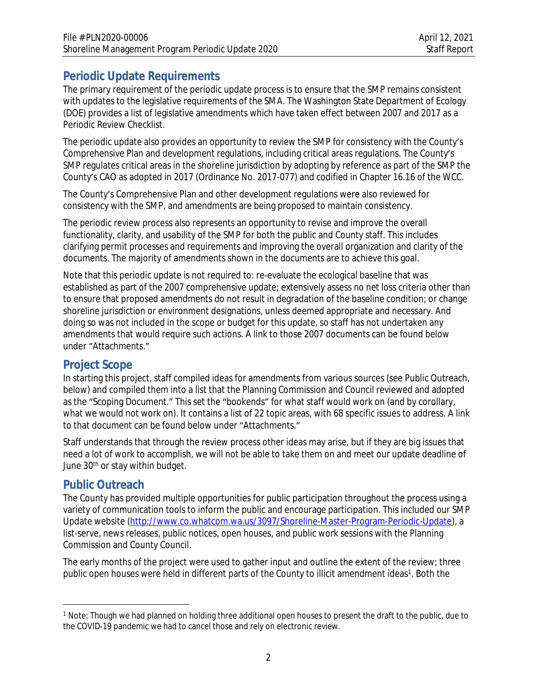# **Periodic Update Requirements**

The primary requirement of the periodic update process is to ensure that the SMP remains consistent with updates to the legislative requirements of the SMA. The Washington State Department of Ecology (DOE) provides a list of legislative amendments which have taken effect between 2007 and 2017 as a Periodic Review Checklist.

The periodic update also provides an opportunity to review the SMP for consistency with the County's Comprehensive Plan and development regulations, including critical areas regulations. The County's SMP regulates critical areas in the shoreline jurisdiction by adopting by reference as part of the SMP the County's CAO as adopted in 2017 (Ordinance No. 2017-077) and codified in Chapter 16.16 of the WCC.

The County's Comprehensive Plan and other development regulations were also reviewed for consistency with the SMP, and amendments are being proposed to maintain consistency.

The periodic review process also represents an opportunity to revise and improve the overall functionality, clarity, and usability of the SMP for both the public and County staff. This includes clarifying permit processes and requirements and improving the overall organization and clarity of the documents. The majority of amendments shown in the documents are to achieve this goal.

Note that this periodic update is not required to: re-evaluate the ecological baseline that was established as part of the 2007 comprehensive update; extensively assess no net loss criteria other than to ensure that proposed amendments do not result in degradation of the baseline condition; or change shoreline jurisdiction or environment designations, unless deemed appropriate and necessary. And doing so was not included in the scope or budget for this update, so staff has not undertaken any amendments that would require such actions. A link to those 2007 documents can be found below under "Attachments."

# **Project Scope**

In starting this project, staff compiled ideas for amendments from various sources (see [Public Outreach,](#page-1-0) below) and compiled them into a list that the Planning Commission and Council reviewed and adopted as the "Scoping Document." This set the "bookends" for what staff would work on (and by corollary, what we would not work on). It contains a list of 22 topic areas, with 68 specific issues to address. A link to that document can be found below under "Attachments."

Staff understands that through the review process other ideas may arise, but if they are big issues that need a lot of work to accomplish, we will not be able to take them on and meet our update deadline of June 30th or stay within budget.

# <span id="page-1-0"></span>**Public Outreach**

The County has provided multiple opportunities for public participation throughout the process using a variety of communication tools to inform the public and encourage participation. This included our SMP Update website [\(http://www.co.whatcom.wa.us/3097/Shoreline-Master-Program-Periodic-Update](http://www.co.whatcom.wa.us/3097/Shoreline-Master-Program-Periodic-Update)), a list-serve, news releases, public notices, open houses, and public work sessions with the Planning Commission and County Council.

The early months of the project were used to gather input and outline the extent of the review; three public open houses were held in different parts of the County to illicit amendment ideas<sup>1</sup>. Both the

<sup>1</sup> Note: Though we had planned on holding three additional open houses to present the draft to the public, due to the COVID-19 pandemic we had to cancel those and rely on electronic review.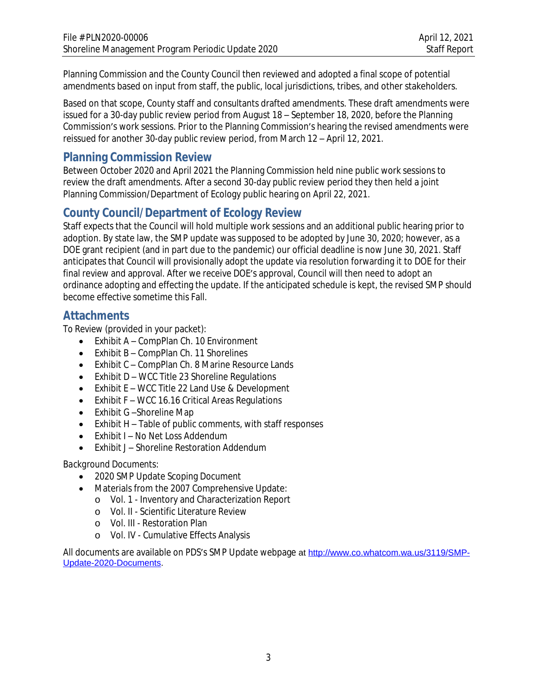Planning Commission and the County Council then reviewed and adopted a final scope of potential amendments based on input from staff, the public, local jurisdictions, tribes, and other stakeholders.

Based on that scope, County staff and consultants drafted amendments. These draft amendments were issued for a 30-day public review period from August 18 – September 18, 2020, before the Planning Commission's work sessions. Prior to the Planning Commission's hearing the revised amendments were reissued for another 30-day public review period, from March 12 – April 12, 2021.

# **Planning Commission Review**

Between October 2020 and April 2021 the Planning Commission held nine public work sessions to review the draft amendments. After a second 30-day public review period they then held a joint Planning Commission/Department of Ecology public hearing on April 22, 2021.

# **County Council/Department of Ecology Review**

Staff expects that the Council will hold multiple work sessions and an additional public hearing prior to adoption. By state law, the SMP update was supposed to be adopted by June 30, 2020; however, as a DOE grant recipient (and in part due to the pandemic) our official deadline is now June 30, 2021. Staff anticipates that Council will provisionally adopt the update via resolution forwarding it to DOE for their final review and approval. After we receive DOE's approval, Council will then need to adopt an ordinance adopting and effecting the update. If the anticipated schedule is kept, the revised SMP should become effective sometime this Fall.

# **Attachments**

*To Review* (provided in your packet):

- Exhibit A CompPlan Ch. 10 Environment
- Exhibit B CompPlan Ch. 11 Shorelines
- Exhibit C CompPlan Ch. 8 Marine Resource Lands
- Exhibit D WCC Title 23 Shoreline Regulations
- Exhibit E WCC Title 22 Land Use & Development
- Exhibit F WCC 16.16 Critical Areas Regulations
- Exhibit G-Shoreline Map
- Exhibit H Table of public comments, with staff responses
- Exhibit I No Net Loss Addendum
- Exhibit I Shoreline Restoration Addendum

#### *Background Documents*:

- 2020 SMP Update Scoping Document
- Materials from the 2007 Comprehensive Update:
	- o Vol. 1 Inventory and Characterization Report
	- o Vol. II Scientific Literature Review
	- o Vol. III Restoration Plan
	- o Vol. IV Cumulative Effects Analysis

All documents are available on PDS's SMP Update webpage at [http://www.co.whatcom.wa.us/3119/SMP-](http://www.co.whatcom.wa.us/3119/SMP-Update-2020-Documents)Update-2020-Documents.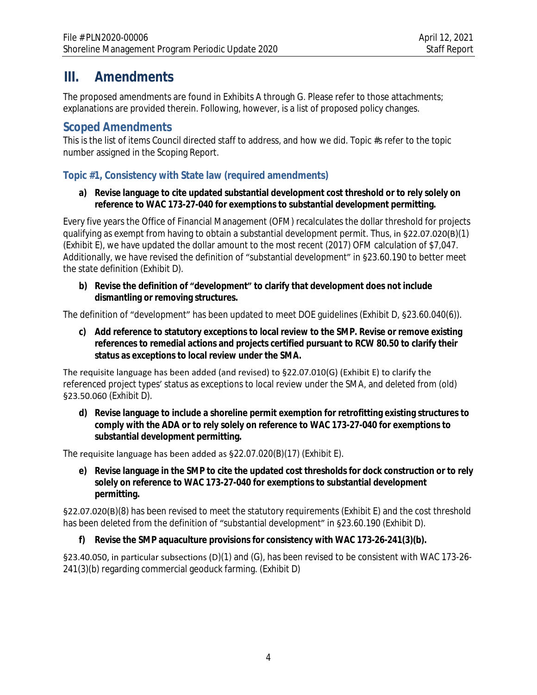# **III. Amendments**

The proposed amendments are found in Exhibits A through G. Please refer to those attachments; explanations are provided therein. Following, however, is a list of proposed policy changes.

# **Scoped Amendments**

This is the list of items Council directed staff to address, and how we did. Topic #s refer to the topic number assigned in the Scoping Report.

# **Topic #1, Consistency with State law (required amendments)**

#### **a) Revise language to cite updated substantial development cost threshold or to rely solely on reference to WAC 173-27-040 for exemptions to substantial development permitting.**

Every five years the Office of Financial Management (OFM) recalculates the dollar threshold for projects qualifying as exempt from having to obtain a substantial development permit. Thus, in §22.07.020(B)(1) (Exhibit E), we have updated the dollar amount to the most recent (2017) OFM calculation of \$7,047. Additionally, we have revised the definition of "substantial development" in §23.60.190 to better meet the state definition (Exhibit D).

**b) Revise the definition of "development" to clarify that development does not include dismantling or removing structures.** 

The definition of "development" has been updated to meet DOE guidelines (Exhibit D, §23.60.040(6)).

**c) Add reference to statutory exceptions to local review to the SMP. Revise or remove existing references to remedial actions and projects certified pursuant to RCW 80.50 to clarify their status as exceptions to local review under the SMA.**

The requisite language has been added (and revised) to §22.07.010(G) (Exhibit E) to clarify the referenced project types' status as exceptions to local review under the SMA, and deleted from (old) §23.50.060 (Exhibit D).

**d) Revise language to include a shoreline permit exemption for retrofitting existing structures to comply with the ADA or to rely solely on reference to WAC 173-27-040 for exemptions to substantial development permitting.**

The requisite language has been added as §22.07.020(B)(17) (Exhibit E).

**e) Revise language in the SMP to cite the updated cost thresholds for dock construction or to rely solely on reference to WAC 173-27-040 for exemptions to substantial development permitting.**

§22.07.020(B)(8) has been revised to meet the statutory requirements (Exhibit E) and the cost threshold has been deleted from the definition of "substantial development" in §23.60.190 (Exhibit D).

## **f) Revise the SMP aquaculture provisions for consistency with WAC 173-26-241(3)(b).**

§23.40.050, in particular subsections (D)(1) and (G), has been revised to be consistent with WAC 173-26- 241(3)(b) regarding commercial geoduck farming. (Exhibit D)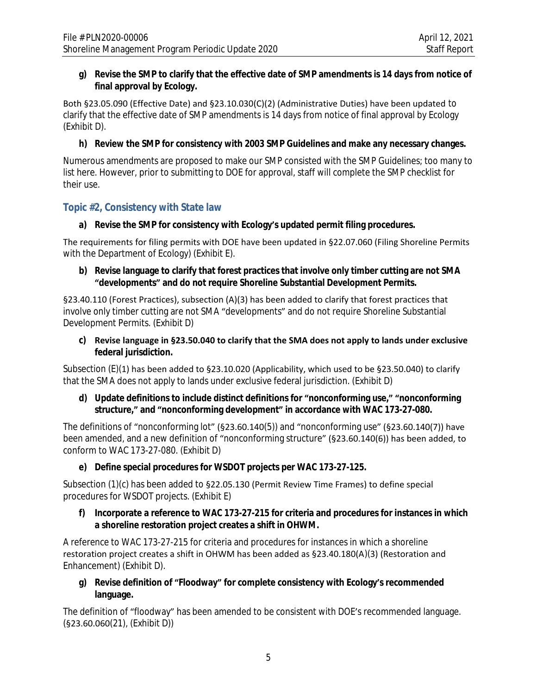#### **g) Revise the SMP to clarify that the effective date of SMP amendments is 14 days from notice of final approval by Ecology.**

Both §23.05.090 (Effective Date) and §23.10.030(C)(2) (Administrative Duties) have been updated to clarify that the effective date of SMP amendments is 14 days from notice of final approval by Ecology (Exhibit D).

#### **h) Review the SMP for consistency with 2003 SMP Guidelines and make any necessary changes.**

Numerous amendments are proposed to make our SMP consisted with the SMP Guidelines; too many to list here. However, prior to submitting to DOE for approval, staff will complete the SMP checklist for their use.

#### **Topic #2, Consistency with State law**

#### **a) Revise the SMP for consistency with Ecology's updated permit filing procedures.**

The requirements for filing permits with DOE have been updated in §22.07.060 (Filing Shoreline Permits with the Department of Ecology) (Exhibit E).

#### **b) Revise language to clarify that forest practices that involve only timber cutting are not SMA "developments" and do not require Shoreline Substantial Development Permits.**

§23.40.110 (Forest Practices), subsection (A)(3) has been added to clarify that forest practices that involve only timber cutting are not SMA "developments" and do not require Shoreline Substantial Development Permits. (Exhibit D)

**c) Revise language in §23.50.040 to clarify that the SMA does not apply to lands under exclusive federal jurisdiction.** 

Subsection (E)(1) has been added to §23.10.020 (Applicability, which used to be §23.50.040) to clarify that the SMA does not apply to lands under exclusive federal jurisdiction. (Exhibit D)

#### **d) Update definitions to include distinct definitions for "nonconforming use," "nonconforming structure," and "nonconforming development" in accordance with WAC 173-27-080.**

The definitions of "nonconforming lot" (§23.60.140(5)) and "nonconforming use" (§23.60.140(7)) have been amended, and a new definition of "nonconforming structure" (§23.60.140(6)) has been added, to conform to WAC 173-27-080. (Exhibit D)

#### **e) Define special procedures for WSDOT projects per WAC 173-27-125.**

Subsection (1)(c) has been added to §22.05.130 (Permit Review Time Frames) to define special procedures for WSDOT projects. (Exhibit E)

#### **f) Incorporate a reference to WAC 173-27-215 for criteria and procedures for instances in which a shoreline restoration project creates a shift in OHWM.**

A reference to WAC 173-27-215 for criteria and procedures for instances in which a shoreline restoration project creates a shift in OHWM has been added as §23.40.180(A)(3) (Restoration and Enhancement) (Exhibit D).

#### **g) Revise definition of "Floodway" for complete consistency with Ecology's recommended language.**

The definition of "floodway" has been amended to be consistent with DOE's recommended language. (§23.60.060(21), (Exhibit D))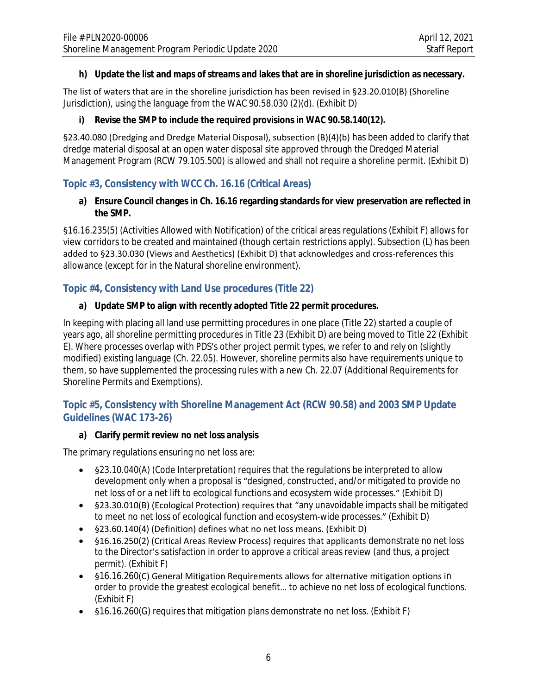#### **h) Update the list and maps of streams and lakes that are in shoreline jurisdiction as necessary.**

The list of waters that are in the shoreline jurisdiction has been revised in §23.20.010(B) (Shoreline Jurisdiction), using the language from the WAC 90.58.030 (2)(d). (Exhibit D)

#### **i) Revise the SMP to include the required provisions in WAC 90.58.140(12).**

§23.40.080 (Dredging and Dredge Material Disposal), subsection (B)(4)(b) has been added to clarify that dredge material disposal at an open water disposal site approved through the Dredged Material Management Program (RCW 79.105.500) is allowed and shall not require a shoreline permit. (Exhibit D)

# **Topic #3, Consistency with WCC Ch. 16.16 (Critical Areas)**

#### **a) Ensure Council changes in Ch. 16.16 regarding standards for view preservation are reflected in the SMP.**

§16.16.235(5) (Activities Allowed with Notification) of the critical areas regulations (Exhibit F) allows for view corridors to be created and maintained (though certain restrictions apply). Subsection (L) has been added to §23.30.030 (Views and Aesthetics) (Exhibit D) that acknowledges and cross-references this allowance (except for in the Natural shoreline environment).

# **Topic #4, Consistency with Land Use procedures (Title 22)**

#### **a) Update SMP to align with recently adopted Title 22 permit procedures.**

In keeping with placing all land use permitting procedures in one place (Title 22) started a couple of years ago, all shoreline permitting procedures in Title 23 (Exhibit D) are being moved to Title 22 (Exhibit E). Where processes overlap with PDS's other project permit types, we refer to and rely on (slightly modified) existing language (Ch. 22.05). However, shoreline permits also have requirements unique to them, so have supplemented the processing rules with a new Ch. 22.07 (Additional Requirements for Shoreline Permits and Exemptions).

## **Topic #5, Consistency with Shoreline Management Act (RCW 90.58) and 2003 SMP Update Guidelines (WAC 173-26)**

#### **a) Clarify permit review no net loss analysis**

The primary regulations ensuring no net loss are:

- §23.10.040(A) (Code Interpretation) requires that the regulations be interpreted to allow development only when a proposal is "designed, constructed, and/or mitigated to provide no net loss of or a net lift to ecological functions and ecosystem wide processes." (Exhibit D)
- §23.30.010(B) (Ecological Protection) requires that "any unavoidable impacts shall be mitigated to meet no net loss of ecological function and ecosystem-wide processes." (Exhibit D)
- §23.60.140(4) (Definition) defines what no net loss means. (Exhibit D)
- §16.16.250(2) (Critical Areas Review Process) requires that applicants demonstrate no net loss to the Director's satisfaction in order to approve a critical areas review (and thus, a project permit). (Exhibit F)
- §16.16.260(C) General Mitigation Requirements allows for alternative mitigation options in order to provide the greatest ecological benefit… to achieve no net loss of ecological functions. (Exhibit F)
- §16.16.260(G) requires that mitigation plans demonstrate no net loss. (Exhibit F)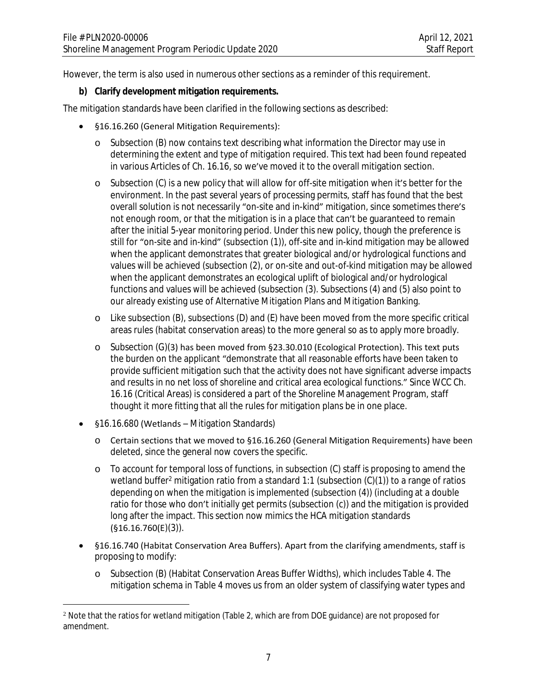However, the term is also used in numerous other sections as a reminder of this requirement.

#### **b) Clarify development mitigation requirements.**

The mitigation standards have been clarified in the following sections as described:

- §16.16.260 (General Mitigation Requirements):
	- o Subsection (B) now contains text describing what information the Director may use in determining the extent and type of mitigation required. This text had been found repeated in various Articles of Ch. 16.16, so we've moved it to the overall mitigation section.
	- o Subsection (C) is a new policy that will allow for off-site mitigation when it's better for the environment. In the past several years of processing permits, staff has found that the best overall solution is not necessarily "on-site and in-kind" mitigation, since sometimes there's not enough room, or that the mitigation is in a place that can't be guaranteed to remain after the initial 5-year monitoring period. Under this new policy, though the preference is still for "on-site and in-kind" (subsection (1)), off-site and in-kind mitigation may be allowed when the applicant demonstrates that greater biological and/or hydrological functions and values will be achieved (subsection (2), or on-site and out-of-kind mitigation may be allowed when the applicant demonstrates an ecological uplift of biological and/or hydrological functions and values will be achieved (subsection (3). Subsections (4) and (5) also point to our already existing use of Alternative Mitigation Plans and Mitigation Banking.
	- o Like subsection (B), subsections (D) and (E) have been moved from the more specific critical areas rules (habitat conservation areas) to the more general so as to apply more broadly.
	- o Subsection (G)(3) has been moved from §23.30.010 (Ecological Protection). This text puts the burden on the applicant "demonstrate that all reasonable efforts have been taken to provide sufficient mitigation such that the activity does not have significant adverse impacts and results in no net loss of shoreline and critical area ecological functions." Since WCC Ch. 16.16 (Critical Areas) is considered a part of the Shoreline Management Program, staff thought it more fitting that all the rules for mitigation plans be in one place.
- §16.16.680 (Wetlands Mitigation Standards)
	- o Certain sections that we moved to §16.16.260 (General Mitigation Requirements) have been deleted, since the general now covers the specific.
	- o To account for temporal loss of functions, in subsection (C) staff is proposing to amend the wetland buffer<sup>2</sup> mitigation ratio from a standard 1:1 (subsection (C)(1)) to a range of ratios depending on when the mitigation is implemented (subsection (4)) (including at a double ratio for those who don't initially get permits (subsection (c)) and the mitigation is provided long after the impact. This section now mimics the HCA mitigation standards (§16.16.760(E)(3)).
- §16.16.740 (Habitat Conservation Area Buffers). Apart from the clarifying amendments, staff is proposing to modify:
	- o Subsection (B) (Habitat Conservation Areas Buffer Widths), which includes Table 4. The mitigation schema in Table 4 moves us from an older system of classifying water types and

<sup>2</sup> Note that the ratios for *wetland* mitigation (Table 2, which are from DOE guidance) are not proposed for amendment.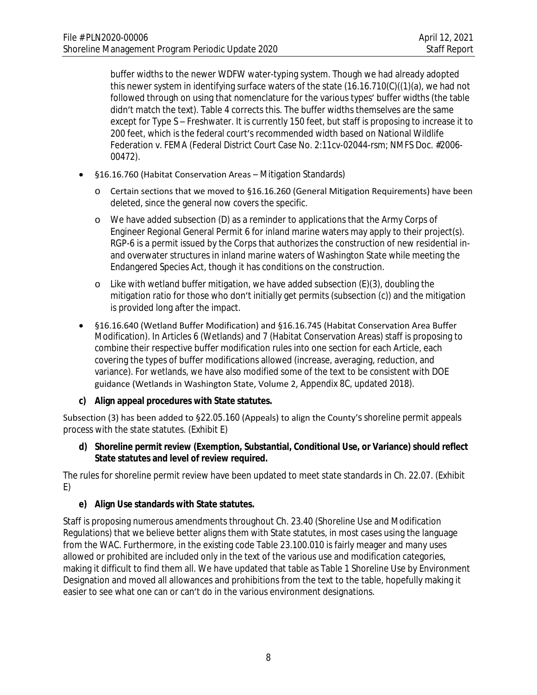buffer widths to the newer WDFW water-typing system. Though we had already adopted this newer system in identifying surface waters of the state (16.16.710(C)((1)(a), we had not followed through on using that nomenclature for the various types' buffer widths (the table didn't match the text). Table 4 corrects this. The buffer widths themselves are the same except for Type S – Freshwater. It is currently 150 feet, but staff is proposing to increase it to 200 feet, which is the federal court's recommended width based on National Wildlife Federation v. FEMA (Federal District Court Case No. 2:11cv-02044-rsm; NMFS Doc. #2006- 00472).

- §16.16.760 (Habitat Conservation Areas Mitigation Standards)
	- o Certain sections that we moved to §16.16.260 (General Mitigation Requirements) have been deleted, since the general now covers the specific.
	- o We have added subsection (D) as a reminder to applications that the Army Corps of Engineer Regional General Permit 6 for inland marine waters may apply to their project(s). RGP-6 is a permit issued by the Corps that authorizes the construction of new residential inand overwater structures in inland marine waters of Washington State while meeting the Endangered Species Act, though it has conditions on the construction.
	- o Like with wetland buffer mitigation, we have added subsection (E)(3), doubling the mitigation ratio for those who don't initially get permits (subsection (c)) and the mitigation is provided long after the impact.
- §16.16.640 (Wetland Buffer Modification) and §16.16.745 (Habitat Conservation Area Buffer Modification). In Articles 6 (Wetlands) and 7 (Habitat Conservation Areas) staff is proposing to combine their respective buffer modification rules into one section for each Article, each covering the types of buffer modifications allowed (increase, averaging, reduction, and variance). For wetlands, we have also modified some of the text to be consistent with DOE guidance (Wetlands in Washington State, Volume 2, Appendix 8C, updated 2018).

## **c) Align appeal procedures with State statutes.**

Subsection (3) has been added to §22.05.160 (Appeals) to align the County's shoreline permit appeals process with the state statutes. (Exhibit E)

#### **d) Shoreline permit review (Exemption, Substantial, Conditional Use, or Variance) should reflect State statutes and level of review required.**

The rules for shoreline permit review have been updated to meet state standards in Ch. 22.07. (Exhibit E)

#### **e) Align Use standards with State statutes.**

Staff is proposing numerous amendments throughout Ch. 23.40 (Shoreline Use and Modification Regulations) that we believe better aligns them with State statutes, in most cases using the language from the WAC. Furthermore, in the existing code Table 23.100.010 is fairly meager and many uses allowed or prohibited are included only in the text of the various use and modification categories, making it difficult to find them all. We have updated that table as Table 1 Shoreline Use by Environment Designation and moved all allowances and prohibitions from the text to the table, hopefully making it easier to see what one can or can't do in the various environment designations.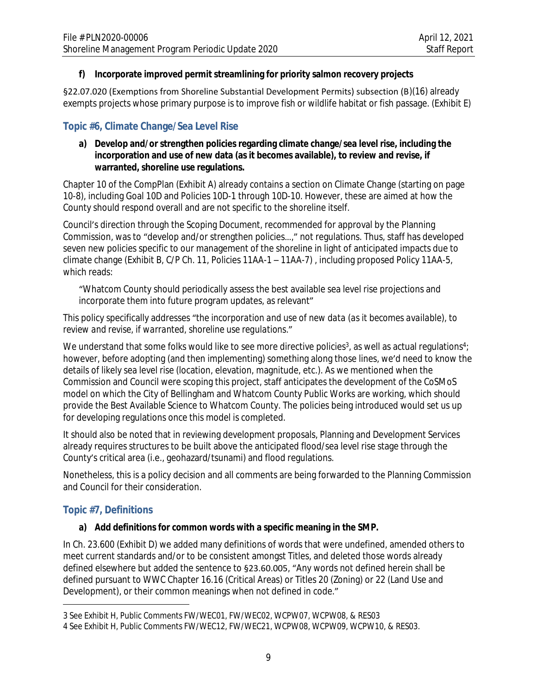#### **f) Incorporate improved permit streamlining for priority salmon recovery projects**

§22.07.020 (Exemptions from Shoreline Substantial Development Permits) subsection (B)(16) already exempts projects whose primary purpose is to improve fish or wildlife habitat or fish passage. (Exhibit E)

# **Topic #6, Climate Change/Sea Level Rise**

#### **a) Develop and/or strengthen policies regarding climate change/sea level rise, including the incorporation and use of new data (as it becomes available), to review and revise, if warranted, shoreline use regulations.**

Chapter 10 of the CompPlan (Exhibit A) already contains a section on Climate Change (starting on page 10-8), including Goal 10D and Policies 10D-1 through 10D-10. However, these are aimed at how the County should respond overall and are not specific to the shoreline itself.

Council's direction through the Scoping Document, recommended for approval by the Planning Commission, was to "develop and/or strengthen policies…," not regulations. Thus, staff has developed seven new policies specific to our management of the shoreline in light of anticipated impacts due to climate change (Exhibit B, C/P Ch. 11, Policies 11AA-1 – 11AA-7) , including proposed Policy 11AA-5, which reads:

"Whatcom County should periodically assess the best available sea level rise projections and incorporate them into future program updates, as relevant"

This policy specifically addresses "*the incorporation and use of new data (as it becomes available), to review and revise, if warranted, shoreline use regulations*."

We understand that some folks would like to see more directive policies $^3$ , as well as actual regulations $^4\!$ : however, before adopting (and then implementing) something along those lines, we'd need to know the details of likely sea level rise (location, elevation, magnitude, etc.). As we mentioned when the Commission and Council were scoping this project, staff anticipates the development of the CoSMoS model on which the City of Bellingham and Whatcom County Public Works are working, which should provide the Best Available Science to Whatcom County. The policies being introduced would set us up for developing regulations once this model is completed.

It should also be noted that in reviewing development proposals, Planning and Development Services already requires structures to be built above the anticipated flood/sea level rise stage through the County's critical area (i.e., geohazard/tsunami) and flood regulations.

Nonetheless, this is a policy decision and all comments are being forwarded to the Planning Commission and Council for their consideration.

# **Topic #7, Definitions**

## **a) Add definitions for common words with a specific meaning in the SMP.**

In Ch. 23.600 (Exhibit D) we added many definitions of words that were undefined, amended others to meet current standards and/or to be consistent amongst Titles, and deleted those words already defined elsewhere but added the sentence to §23.60.005, "Any words not defined herein shall be defined pursuant to WWC Chapter 16.16 (Critical Areas) or Titles 20 (Zoning) or 22 (Land Use and Development), or their common meanings when not defined in code."

<sup>3</sup> See Exhibit H, Public Comments FW/WEC01, FW/WEC02, WCPW07, WCPW08, & RES03

<sup>4</sup> See Exhibit H, Public Comments FW/WEC12, FW/WEC21, WCPW08, WCPW09, WCPW10, & RES03.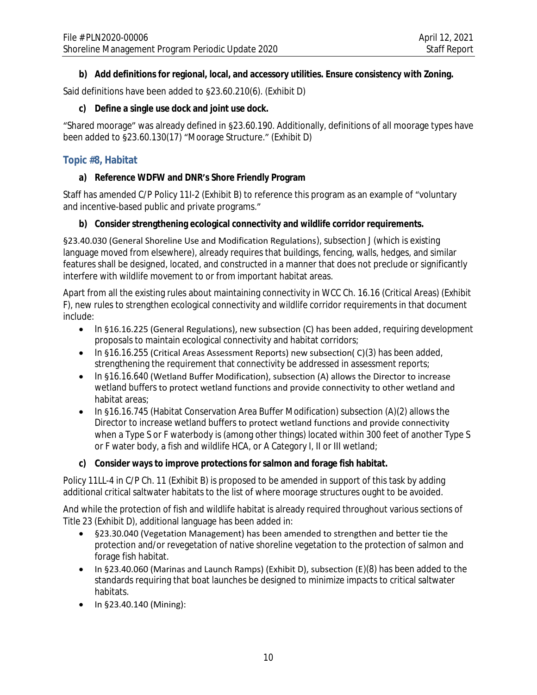### **b) Add definitions for regional, local, and accessory utilities. Ensure consistency with Zoning.**

Said definitions have been added to §23.60.210(6). (Exhibit D)

#### **c) Define a single use dock and joint use dock.**

"Shared moorage" was already defined in §23.60.190. Additionally, definitions of all moorage types have been added to §23.60.130(17) "Moorage Structure." (Exhibit D)

### **Topic #8, Habitat**

### **a) Reference WDFW and DNR's Shore Friendly Program**

Staff has amended C/P Policy 11I-2 (Exhibit B) to reference this program as an example of "voluntary and incentive-based public and private programs."

#### **b) Consider strengthening ecological connectivity and wildlife corridor requirements.**

§23.40.030 (General Shoreline Use and Modification Regulations), subsection J (which is existing language moved from elsewhere), already requires that buildings, fencing, walls, hedges, and similar features shall be designed, located, and constructed in a manner that does not preclude or significantly interfere with wildlife movement to or from important habitat areas.

Apart from all the existing rules about maintaining connectivity in WCC Ch. 16.16 (Critical Areas) (Exhibit F), new rules to strengthen ecological connectivity and wildlife corridor requirements in that document include:

- In §16.16.225 (General Regulations), new subsection (C) has been added, requiring development proposals to maintain ecological connectivity and habitat corridors;
- $\bullet$  In §16.16.255 (Critical Areas Assessment Reports) new subsection( C)(3) has been added, strengthening the requirement that connectivity be addressed in assessment reports;
- In §16.16.640 (Wetland Buffer Modification), subsection (A) allows the Director to increase wetland buffers to protect wetland functions and provide connectivity to other wetland and habitat areas;
- In §16.16.745 (Habitat Conservation Area Buffer Modification) subsection (A)(2) allows the Director to increase wetland buffers to protect wetland functions and provide connectivity when a Type S or F waterbody is (among other things) located within 300 feet of another Type S or F water body, a fish and wildlife HCA, or A Category I, II or III wetland;

#### **c) Consider ways to improve protections for salmon and forage fish habitat.**

Policy 11LL-4 in C/P Ch. 11 (Exhibit B) is proposed to be amended in support of this task by adding additional critical saltwater habitats to the list of where moorage structures ought to be avoided.

And while the protection of fish and wildlife habitat is already required throughout various sections of Title 23 (Exhibit D), additional language has been added in:

- §23.30.040 (Vegetation Management) has been amended to strengthen and better tie the protection and/or revegetation of native shoreline vegetation to the protection of salmon and forage fish habitat.
- In §23.40.060 (Marinas and Launch Ramps) (Exhibit D), subsection ( $E(8)$  has been added to the standards requiring that boat launches be designed to minimize impacts to critical saltwater habitats.
- $\bullet$  In §23.40.140 (Mining):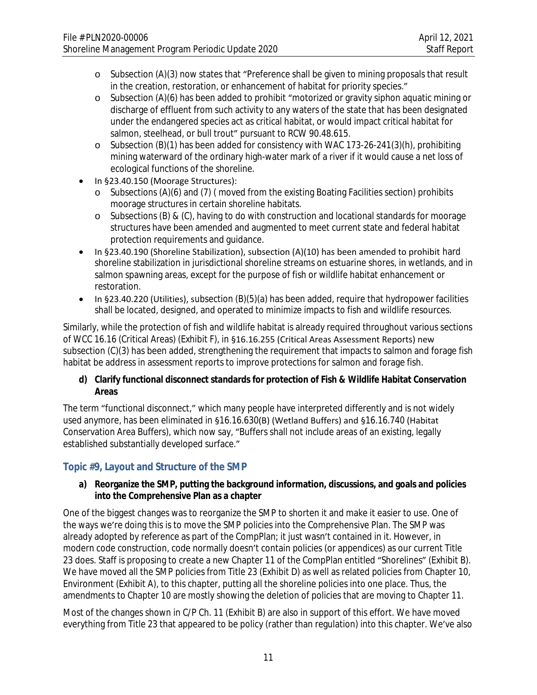- o Subsection (A)(3) now states that "Preference shall be given to mining proposals that result in the creation, restoration, or enhancement of habitat for priority species."
- o Subsection (A)(6) has been added to prohibit "motorized or gravity siphon aquatic mining or discharge of effluent from such activity to any waters of the state that has been designated under the endangered species act as critical habitat, or would impact critical habitat for salmon, steelhead, or bull trout" pursuant to RCW 90.48.615.
- o Subsection (B)(1) has been added for consistency with WAC 173-26-241(3)(h), prohibiting mining waterward of the ordinary high-water mark of a river if it would cause a net loss of ecological functions of the shoreline.
- In §23.40.150 (Moorage Structures):
	- o Subsections (A)(6) and (7) ( moved from the existing Boating Facilities section) prohibits moorage structures in certain shoreline habitats.
	- o Subsections (B) & (C), having to do with construction and locational standards for moorage structures have been amended and augmented to meet current state and federal habitat protection requirements and guidance.
- In §23.40.190 (Shoreline Stabilization), subsection (A)(10) has been amended to prohibit hard shoreline stabilization in jurisdictional shoreline streams on estuarine shores, in wetlands, and in salmon spawning areas, except for the purpose of fish or wildlife habitat enhancement or restoration.
- In §23.40.220 (Utilities), subsection (B)(5)(a) has been added, require that hydropower facilities shall be located, designed, and operated to minimize impacts to fish and wildlife resources.

Similarly, while the protection of fish and wildlife habitat is already required throughout various sections of WCC 16.16 (Critical Areas) (Exhibit F), in §16.16.255 (Critical Areas Assessment Reports) new subsection (C)(3) has been added, strengthening the requirement that impacts to salmon and forage fish habitat be address in assessment reports to improve protections for salmon and forage fish.

#### **d) Clarify functional disconnect standards for protection of Fish & Wildlife Habitat Conservation Areas**

The term "functional disconnect," which many people have interpreted differently and is not widely used anymore, has been eliminated in §16.16.630(B) (Wetland Buffers) and §16.16.740 (Habitat Conservation Area Buffers), which now say, "Buffers shall not include areas of an existing, legally established substantially developed surface."

# **Topic #9, Layout and Structure of the SMP**

#### **a) Reorganize the SMP, putting the background information, discussions, and goals and policies into the Comprehensive Plan as a chapter**

One of the biggest changes was to reorganize the SMP to shorten it and make it easier to use. One of the ways we're doing this is to move the SMP policies into the Comprehensive Plan. The SMP was already adopted by reference as part of the CompPlan; it just wasn't contained in it. However, in modern code construction, code normally doesn't contain policies (or appendices) as our current Title 23 does. Staff is proposing to create a new Chapter 11 of the CompPlan entitled "Shorelines" (Exhibit B). We have moved all the SMP policies from Title 23 (Exhibit D) as well as related policies from Chapter 10, Environment (Exhibit A), to this chapter, putting all the shoreline policies into one place. Thus, the amendments to Chapter 10 are mostly showing the deletion of policies that are moving to Chapter 11.

Most of the changes shown in C/P Ch. 11 (Exhibit B) are also in support of this effort. We have moved everything from Title 23 that appeared to be policy (rather than regulation) into this chapter. We've also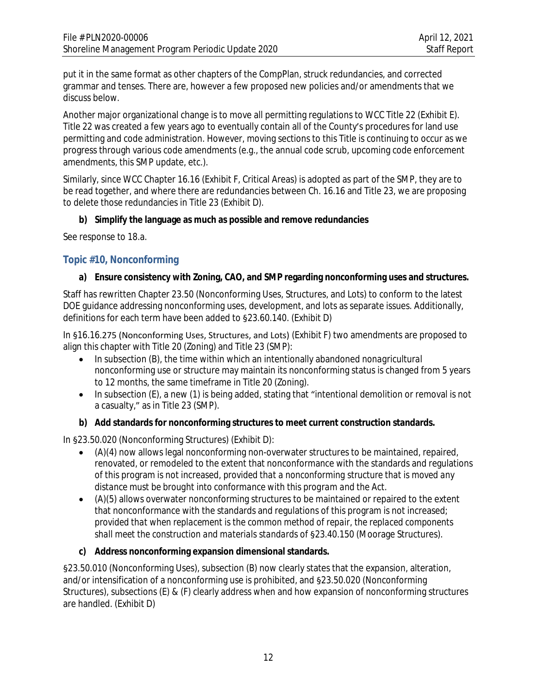put it in the same format as other chapters of the CompPlan, struck redundancies, and corrected grammar and tenses. There are, however a few proposed new policies and/or amendments that we discuss below.

Another major organizational change is to move all permitting regulations to WCC Title 22 (Exhibit E). Title 22 was created a few years ago to eventually contain all of the County's procedures for land use permitting and code administration. However, moving sections to this Title is continuing to occur as we progress through various code amendments (e.g., the annual code scrub, upcoming code enforcement amendments, this SMP update, etc.).

Similarly, since WCC Chapter 16.16 (Exhibit F, Critical Areas) is adopted as part of the SMP, they are to be read together, and where there are redundancies between Ch. 16.16 and Title 23, we are proposing to delete those redundancies in Title 23 (Exhibit D).

#### **b) Simplify the language as much as possible and remove redundancies**

See response to 18.a.

#### **Topic #10, Nonconforming**

#### **a) Ensure consistency with Zoning, CAO, and SMP regarding nonconforming uses and structures.**

Staff has rewritten Chapter 23.50 (Nonconforming Uses, Structures, and Lots) to conform to the latest DOE guidance addressing nonconforming uses, development, and lots as separate issues. Additionally, definitions for each term have been added to §23.60.140. (Exhibit D)

In §16.16.275 (Nonconforming Uses, Structures, and Lots) (Exhibit F) two amendments are proposed to align this chapter with Title 20 (Zoning) and Title 23 (SMP):

- In subsection (B), the time within which an intentionally abandoned *nonagricultural* nonconforming use or structure may maintain its nonconforming status is changed from 5 years to 12 months, the same timeframe in Title 20 (Zoning).
- In subsection (E), a new (1) is being added, stating that "intentional demolition or removal is not a casualty," as in Title 23 (SMP).

#### **b) Add standards for nonconforming structures to meet current construction standards.**

In §23.50.020 (Nonconforming Structures) (Exhibit D):

- (A)(4) now allows legal nonconforming non-overwater structures to be maintained, repaired, renovated, or remodeled to the extent that nonconformance with the standards and regulations of this program is not increased, *provided that a nonconforming structure that is moved any distance must be brought into conformance with this program and the Act*.
- (A)(5) allows overwater nonconforming structures to be maintained or repaired to the extent that nonconformance with the standards and regulations of this program is not increased; *provided that when replacement is the common method of repair, the replaced components shall meet the construction and materials standards* of §23.40.150 (Moorage Structures).

#### **c) Address nonconforming expansion dimensional standards.**

§23.50.010 (Nonconforming Uses), subsection (B) now clearly states that the expansion, alteration, and/or intensification of a nonconforming use is prohibited, and §23.50.020 (Nonconforming Structures), subsections (E) & (F) clearly address when and how expansion of nonconforming structures are handled. (Exhibit D)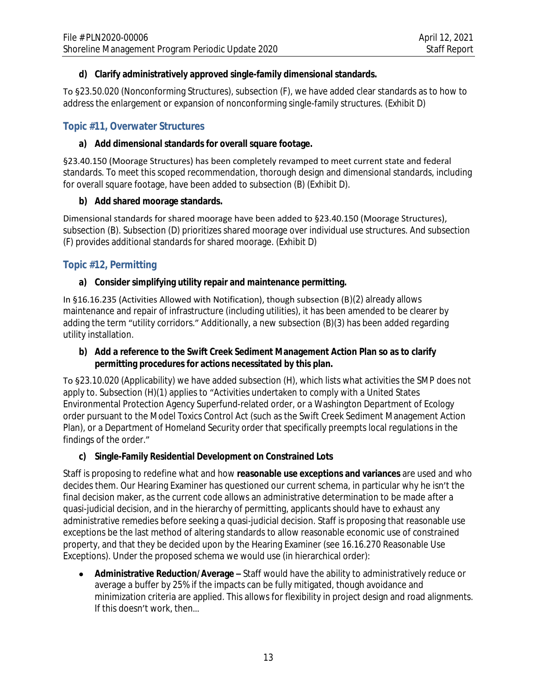### **d) Clarify administratively approved single-family dimensional standards.**

To §23.50.020 (Nonconforming Structures), subsection (F), we have added clear standards as to how to address the enlargement or expansion of nonconforming single-family structures. (Exhibit D)

## **Topic #11, Overwater Structures**

#### **a) Add dimensional standards for overall square footage.**

§23.40.150 (Moorage Structures) has been completely revamped to meet current state and federal standards. To meet this scoped recommendation, thorough design and dimensional standards, including for overall square footage, have been added to subsection (B) (Exhibit D).

#### **b) Add shared moorage standards.**

Dimensional standards for shared moorage have been added to §23.40.150 (Moorage Structures), subsection (B). Subsection (D) prioritizes shared moorage over individual use structures. And subsection (F) provides additional standards for shared moorage. (Exhibit D)

# **Topic #12, Permitting**

#### **a) Consider simplifying utility repair and maintenance permitting.**

In §16.16.235 (Activities Allowed with Notification), though subsection (B)(2) already allows maintenance and repair of infrastructure (including utilities), it has been amended to be clearer by adding the term "utility corridors." Additionally, a new subsection (B)(3) has been added regarding utility installation.

#### **b) Add a reference to the Swift Creek Sediment Management Action Plan so as to clarify permitting procedures for actions necessitated by this plan.**

To §23.10.020 (Applicability) we have added subsection (H), which lists what activities the SMP does not apply to. Subsection (H)(1) applies to "Activities undertaken to comply with a United States Environmental Protection Agency Superfund-related order, or a Washington Department of Ecology order pursuant to the Model Toxics Control Act (such as the Swift Creek Sediment Management Action Plan), or a Department of Homeland Security order that specifically preempts local regulations in the findings of the order."

## **c) Single-Family Residential Development on Constrained Lots**

Staff is proposing to redefine what and how **reasonable use exceptions and variances** are used and who decides them. Our Hearing Examiner has questioned our current schema, in particular why he isn't the final decision maker, as the current code allows an administrative determination to be made *after* a quasi-judicial decision, and in the hierarchy of permitting, applicants should have to exhaust any administrative remedies before seeking a quasi-judicial decision. Staff is proposing that reasonable use exceptions be the last method of altering standards to allow reasonable economic use of constrained property, and that they be decided upon by the Hearing Examiner (see 16.16.270 Reasonable Use Exceptions). Under the proposed schema we would use (in hierarchical order):

 **Administrative Reduction/Average –** Staff would have the ability to administratively reduce or average a buffer by 25% if the impacts can be fully mitigated, though avoidance and minimization criteria are applied. This allows for flexibility in project design and road alignments. If this doesn't work, then…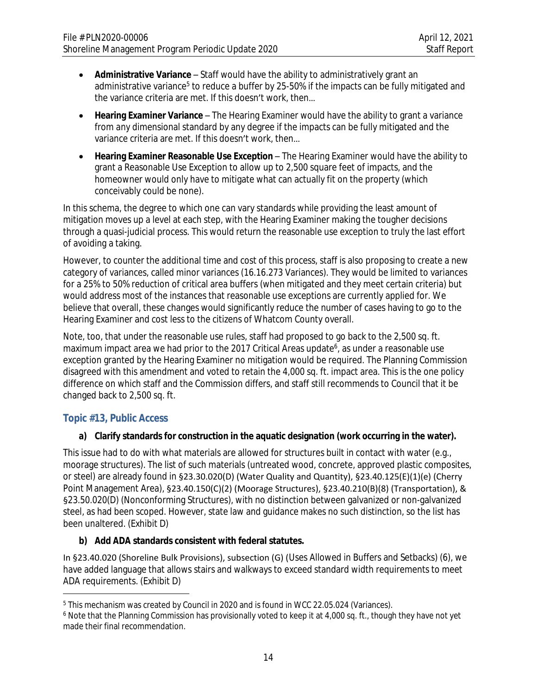- **Administrative Variance** Staff would have the ability to administratively grant an administrative variance<sup>5</sup> to reduce a buffer by 25-50% if the impacts can be fully mitigated and the variance criteria are met. If this doesn't work, then…
- **Hearing Examiner Variance** The Hearing Examiner would have the ability to grant a variance from *any* dimensional standard by any degree if the impacts can be fully mitigated and the variance criteria are met. If this doesn't work, then…
- **Hearing Examiner Reasonable Use Exception** The Hearing Examiner would have the ability to grant a Reasonable Use Exception to allow up to 2,500 square feet of impacts, and the homeowner would only have to mitigate what can actually fit on the property (which conceivably could be none).

In this schema, the degree to which one can vary standards while providing the least amount of mitigation moves up a level at each step, with the Hearing Examiner making the tougher decisions through a quasi-judicial process. This would return the reasonable use exception to truly the last effort of avoiding a taking.

However, to counter the additional time and cost of this process, staff is also proposing to create a new category of variances, called minor variances (16.16.273 Variances). They would be limited to variances for a 25% to 50% reduction of critical area buffers (when mitigated and they meet certain criteria) but would address most of the instances that reasonable use exceptions are currently applied for. We believe that overall, these changes would significantly reduce the number of cases having to go to the Hearing Examiner and cost less to the citizens of Whatcom County overall.

Note, too, that under the reasonable use rules, staff had proposed to go back to the 2,500 sq. ft. maximum impact area we had prior to the 2017 Critical Areas update<sup>6</sup>, as under a reasonable use exception granted by the Hearing Examiner no mitigation would be required. The Planning Commission disagreed with this amendment and voted to retain the 4,000 sq. ft. impact area. This is the one policy difference on which staff and the Commission differs, and staff still recommends to Council that it be changed back to 2,500 sq. ft.

## **Topic #13, Public Access**

#### **a) Clarify standards for construction in the aquatic designation (work occurring in the water).**

This issue had to do with what materials are allowed for structures built in contact with water (e.g., moorage structures). The list of such materials (untreated wood, concrete, approved plastic composites, or steel) are already found in §23.30.020(D) (Water Quality and Quantity), §23.40.125(E)(1)(e) (Cherry Point Management Area), §23.40.150(C)(2) (Moorage Structures), §23.40.210(B)(8) (Transportation), & §23.50.020(D) (Nonconforming Structures), with no distinction between galvanized or non-galvanized steel, as had been scoped. However, state law and guidance makes no such distinction, so the list has been unaltered. (Exhibit D)

## **b) Add ADA standards consistent with federal statutes.**

In §23.40.020 (Shoreline Bulk Provisions), subsection (G) (Uses Allowed in Buffers and Setbacks) (6), we have added language that allows stairs and walkways to exceed standard width requirements to meet ADA requirements. (Exhibit D)

<sup>&</sup>lt;sup>5</sup> This mechanism was created by Council in 2020 and is found in WCC 22.05.024 (Variances).

<sup>6</sup> Note that the Planning Commission has provisionally voted to keep it at 4,000 sq. ft., though they have not yet made their final recommendation.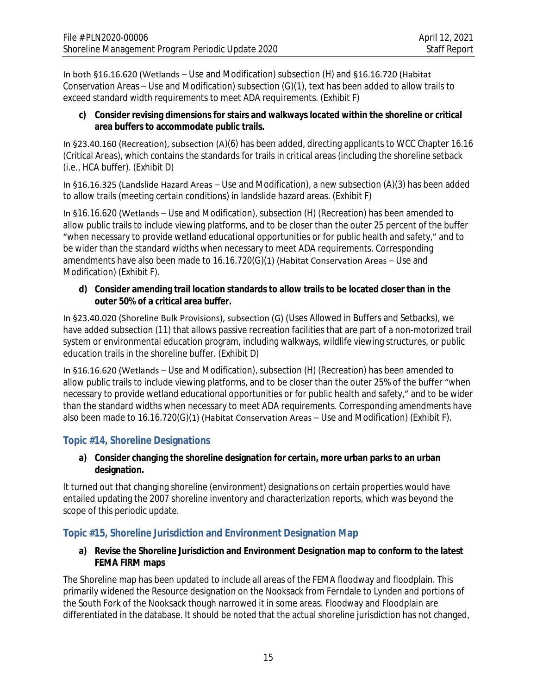In both §16.16.620 (Wetlands – Use and Modification) subsection (H) and §16.16.720 (Habitat Conservation Areas – Use and Modification) subsection (G)(1), text has been added to allow trails to exceed standard width requirements to meet ADA requirements. (Exhibit F)

#### **c) Consider revising dimensions for stairs and walkways located within the shoreline or critical area buffers to accommodate public trails.**

In §23.40.160 (Recreation), subsection (A)(6) has been added, directing applicants to WCC Chapter 16.16 (Critical Areas), which contains the standards for trails in critical areas (including the shoreline setback (i.e., HCA buffer). (Exhibit D)

In §16.16.325 (Landslide Hazard Areas – Use and Modification), a new subsection (A)(3) has been added to allow trails (meeting certain conditions) in landslide hazard areas. (Exhibit F)

In §16.16.620 (Wetlands – Use and Modification), subsection (H) (Recreation) has been amended to allow public trails to include viewing platforms, and to be closer than the outer 25 percent of the buffer "when necessary to provide wetland educational opportunities or for public health and safety," and to be wider than the standard widths when necessary to meet ADA requirements. Corresponding amendments have also been made to 16.16.720(G)(1) (Habitat Conservation Areas – Use and Modification) (Exhibit F).

#### **d) Consider amending trail location standards to allow trails to be located closer than in the outer 50% of a critical area buffer.**

In §23.40.020 (Shoreline Bulk Provisions), subsection (G) (Uses Allowed in Buffers and Setbacks), we have added subsection (11) that allows passive recreation facilities that are part of a non-motorized trail system or environmental education program, including walkways, wildlife viewing structures, or public education trails in the shoreline buffer. (Exhibit D)

In §16.16.620 (Wetlands – Use and Modification), subsection (H) (Recreation) has been amended to allow public trails to include viewing platforms, and to be closer than the outer 25% of the buffer "when necessary to provide wetland educational opportunities or for public health and safety," and to be wider than the standard widths when necessary to meet ADA requirements. Corresponding amendments have also been made to 16.16.720(G)(1) (Habitat Conservation Areas – Use and Modification) (Exhibit F).

# **Topic #14, Shoreline Designations**

#### **a) Consider changing the shoreline designation for certain, more urban parks to an urban designation.**

It turned out that changing shoreline (environment) designations on certain properties would have entailed updating the 2007 shoreline inventory and characterization reports, which was beyond the scope of this periodic update.

## **Topic #15, Shoreline Jurisdiction and Environment Designation Map**

#### **a) Revise the Shoreline Jurisdiction and Environment Designation map to conform to the latest FEMA FIRM maps**

The Shoreline map has been updated to include all areas of the FEMA floodway and floodplain. This primarily widened the Resource designation on the Nooksack from Ferndale to Lynden and portions of the South Fork of the Nooksack though narrowed it in some areas. Floodway and Floodplain are differentiated in the database. It should be noted that the actual shoreline jurisdiction has not changed,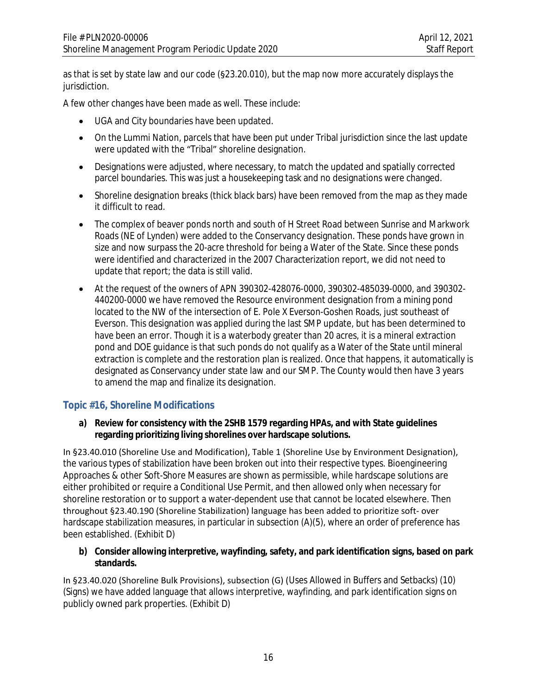as that is set by state law and our code (§23.20.010), but the map now more accurately displays the jurisdiction.

A few other changes have been made as well. These include:

- UGA and City boundaries have been updated.
- On the Lummi Nation, parcels that have been put under Tribal jurisdiction since the last update were updated with the "Tribal" shoreline designation.
- Designations were adjusted, where necessary, to match the updated and spatially corrected parcel boundaries. This was just a housekeeping task and no designations were changed.
- Shoreline designation breaks (thick black bars) have been removed from the map as they made it difficult to read.
- The complex of beaver ponds north and south of H Street Road between Sunrise and Markwork Roads (NE of Lynden) were added to the Conservancy designation. These ponds have grown in size and now surpass the 20-acre threshold for being a Water of the State. Since these ponds were identified and characterized in the 2007 Characterization report, we did not need to update that report; the data is still valid.
- At the request of the owners of APN 390302-428076-0000, 390302-485039-0000, and 390302- 440200-0000 we have removed the Resource environment designation from a mining pond located to the NW of the intersection of E. Pole X Everson-Goshen Roads, just southeast of Everson. This designation was applied during the last SMP update, but has been determined to have been an error. Though it is a waterbody greater than 20 acres, it is a mineral extraction pond and DOE guidance is that such ponds do not qualify as a Water of the State until mineral extraction is complete and the restoration plan is realized. Once that happens, it automatically is designated as Conservancy under state law and our SMP. The County would then have 3 years to amend the map and finalize its designation.

## **Topic #16, Shoreline Modifications**

**a) Review for consistency with the 2SHB 1579 regarding HPAs, and with State guidelines regarding prioritizing living shorelines over hardscape solutions.**

In §23.40.010 (Shoreline Use and Modification), Table 1 (Shoreline Use by Environment Designation), the various types of stabilization have been broken out into their respective types. Bioengineering Approaches & other Soft-Shore Measures are shown as permissible, while hardscape solutions are either prohibited or require a Conditional Use Permit, and then allowed only when necessary for shoreline restoration or to support a water-dependent use that cannot be located elsewhere. Then throughout §23.40.190 (Shoreline Stabilization) language has been added to prioritize soft- over hardscape stabilization measures, in particular in subsection (A)(5), where an order of preference has been established. (Exhibit D)

**b) Consider allowing interpretive, wayfinding, safety, and park identification signs, based on park standards.**

In §23.40.020 (Shoreline Bulk Provisions), subsection (G) (Uses Allowed in Buffers and Setbacks) (10) (Signs) we have added language that allows interpretive, wayfinding, and park identification signs on publicly owned park properties. (Exhibit D)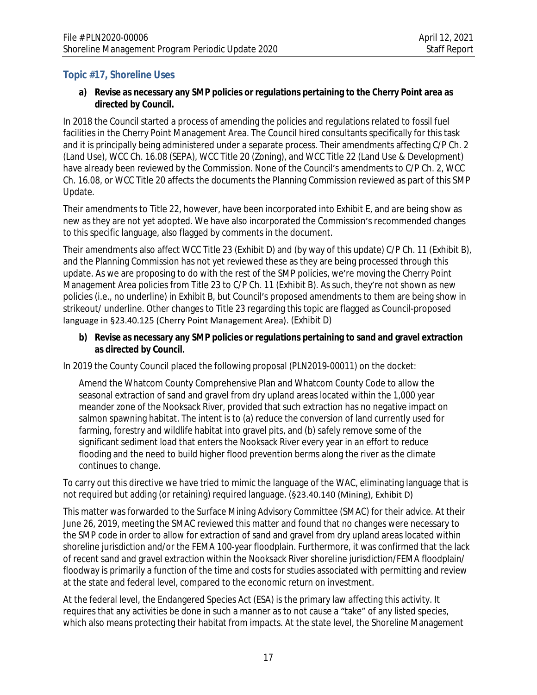# **Topic #17, Shoreline Uses**

#### **a) Revise as necessary any SMP policies or regulations pertaining to the Cherry Point area as directed by Council.**

In 2018 the Council started a process of amending the policies and regulations related to fossil fuel facilities in the Cherry Point Management Area. The Council hired consultants specifically for this task and it is principally being administered under a separate process. Their amendments affecting C/P Ch. 2 (Land Use), WCC Ch. 16.08 (SEPA), WCC Title 20 (Zoning), and WCC Title 22 (Land Use & Development) have already been reviewed by the Commission. None of the Council's amendments to C/P Ch. 2, WCC Ch. 16.08, or WCC Title 20 affects the documents the Planning Commission reviewed as part of this SMP Update.

Their amendments to Title 22, however, have been incorporated into Exhibit E, and are being show as new as they are not yet adopted. We have also incorporated the Commission's recommended changes to this specific language, also flagged by comments in the document.

Their amendments also affect WCC Title 23 (Exhibit D) and (by way of this update) C/P Ch. 11 (Exhibit B), and the Planning Commission has not yet reviewed these as they are being processed through this update. As we are proposing to do with the rest of the SMP policies, we're moving the Cherry Point Management Area policies from Title 23 to C/P Ch. 11 (Exhibit B). As such, they're not shown as new policies (i.e., no underline) in Exhibit B, but Council's proposed amendments to them are being show in strikeout/ underline. Other changes to Title 23 regarding this topic are flagged as Council-proposed language in §23.40.125 (Cherry Point Management Area). (Exhibit D)

#### **b) Revise as necessary any SMP policies or regulations pertaining to sand and gravel extraction as directed by Council.**

In 2019 the County Council placed the following proposal (PLN2019-00011) on the docket:

Amend the Whatcom County Comprehensive Plan and Whatcom County Code to allow the seasonal extraction of sand and gravel from dry upland areas located within the 1,000 year meander zone of the Nooksack River, provided that such extraction has no negative impact on salmon spawning habitat. The intent is to (a) reduce the conversion of land currently used for farming, forestry and wildlife habitat into gravel pits, and (b) safely remove some of the significant sediment load that enters the Nooksack River every year in an effort to reduce flooding and the need to build higher flood prevention berms along the river as the climate continues to change.

To carry out this directive we have tried to mimic the language of the WAC, eliminating language that is not required but adding (or retaining) required language. (§23.40.140 (Mining), Exhibit D)

This matter was forwarded to the Surface Mining Advisory Committee (SMAC) for their advice. At their June 26, 2019, meeting the SMAC reviewed this matter and found that no changes were necessary to the SMP code in order to allow for extraction of sand and gravel from dry upland areas located within shoreline jurisdiction and/or the FEMA 100-year floodplain. Furthermore, it was confirmed that the lack of recent sand and gravel extraction within the Nooksack River shoreline jurisdiction/FEMA floodplain/ floodway is primarily a function of the time and costs for studies associated with permitting and review at the state and federal level, compared to the economic return on investment.

At the federal level, the Endangered Species Act (ESA) is the primary law affecting this activity. It requires that any activities be done in such a manner as to not cause a "take" of any listed species, which also means protecting their habitat from impacts. At the state level, the Shoreline Management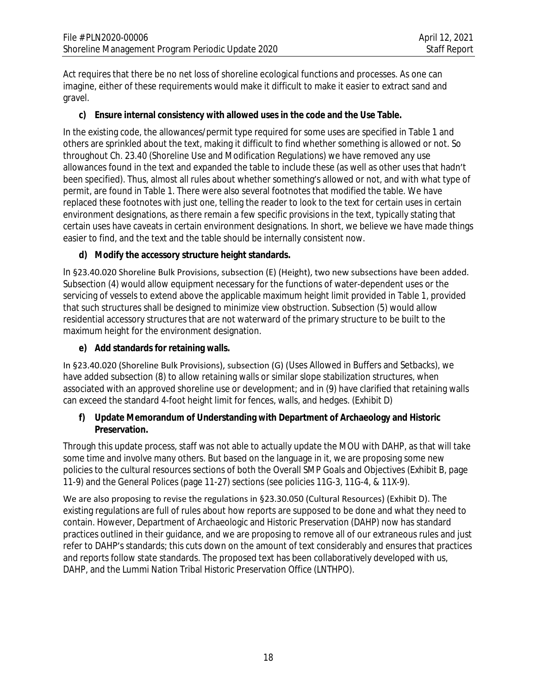Act requires that there be no net loss of shoreline ecological functions and processes. As one can imagine, either of these requirements would make it difficult to make it easier to extract sand and gravel.

## **c) Ensure internal consistency with allowed uses in the code and the Use Table.**

In the existing code, the allowances/permit type required for some uses are specified in Table 1 and others are sprinkled about the text, making it difficult to find whether something is allowed or not. So throughout Ch. 23.40 (Shoreline Use and Modification Regulations) we have removed any use allowances found in the text and expanded the table to include these (as well as other uses that hadn't been specified). Thus, almost all rules about whether something's allowed or not, and with what type of permit, are found in Table 1. There were also several footnotes that modified the table. We have replaced these footnotes with just one, telling the reader to look to the text for certain uses in certain environment designations, as there remain a few specific provisions in the text, typically stating that certain uses have caveats in certain environment designations. In short, we believe we have made things easier to find, and the text and the table should be internally consistent now.

## **d) Modify the accessory structure height standards.**

In §23.40.020 Shoreline Bulk Provisions, subsection (E) (Height), two new subsections have been added. Subsection (4) would allow equipment necessary for the functions of water-dependent uses or the servicing of vessels to extend above the applicable maximum height limit provided in Table 1, provided that such structures shall be designed to minimize view obstruction. Subsection (5) would allow residential accessory structures that are not waterward of the primary structure to be built to the maximum height for the environment designation.

## **e) Add standards for retaining walls.**

In §23.40.020 (Shoreline Bulk Provisions), subsection (G) (Uses Allowed in Buffers and Setbacks), we have added subsection (8) to allow retaining walls or similar slope stabilization structures, when associated with an approved shoreline use or development; and in (9) have clarified that retaining walls can exceed the standard 4-foot height limit for fences, walls, and hedges. (Exhibit D)

#### **f) Update Memorandum of Understanding with Department of Archaeology and Historic Preservation.**

Through this update process, staff was not able to actually update the MOU with DAHP, as that will take some time and involve many others. But based on the language in it, we are proposing some new policies to the cultural resources sections of both the Overall SMP Goals and Objectives (Exhibit B, page 11-9) and the General Polices (page 11-27) sections (see policies 11G-3, 11G-4, & 11X-9).

We are also proposing to revise the regulations in §23.30.050 (Cultural Resources) (Exhibit D). The existing regulations are full of rules about how reports are supposed to be done and what they need to contain. However, Department of Archaeologic and Historic Preservation (DAHP) now has standard practices outlined in their guidance, and we are proposing to remove all of our extraneous rules and just refer to DAHP's standards; this cuts down on the amount of text considerably and ensures that practices and reports follow state standards. The proposed text has been collaboratively developed with us, DAHP, and the Lummi Nation Tribal Historic Preservation Office (LNTHPO).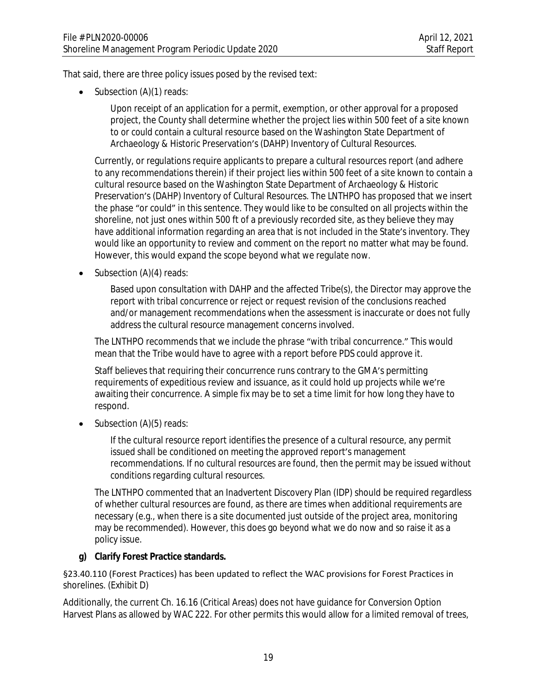That said, there are three policy issues posed by the revised text:

• Subsection (A)(1) reads:

Upon receipt of an application for a permit, exemption, or other approval for a proposed project, the County shall determine whether the project lies within 500 feet of a site known to *or could* contain a cultural resource based on the Washington State Department of Archaeology & Historic Preservation's (DAHP) Inventory of Cultural Resources.

Currently, or regulations require applicants to prepare a cultural resources report (and adhere to any recommendations therein) if their project lies within 500 feet of a site known to contain a cultural resource based on the Washington State Department of Archaeology & Historic Preservation's (DAHP) Inventory of Cultural Resources. The LNTHPO has proposed that we insert the phase "or could" in this sentence. They would like to be consulted on all projects within the shoreline, not just ones within 500 ft of a previously recorded site, as they believe they may have additional information regarding an area that is not included in the State's inventory. They would like an opportunity to review and comment on the report no matter what may be found. However, this would expand the scope beyond what we regulate now.

 $\bullet$  Subsection (A)(4) reads:

Based upon consultation with DAHP and the affected Tribe(s), the Director may approve the report *with tribal concurrence* or reject or request revision of the conclusions reached and/or management recommendations when the assessment is inaccurate or does not fully address the cultural resource management concerns involved.

The LNTHPO recommends that we include the phrase "with tribal concurrence." This would mean that the Tribe would have to agree with a report before PDS could approve it.

Staff believes that requiring their concurrence runs contrary to the GMA's permitting requirements of expeditious review and issuance, as it could hold up projects while we're awaiting their concurrence. A simple fix may be to set a time limit for how long they have to respond.

Subsection (A)(5) reads:

If the cultural resource report identifies the presence of a cultural resource, any permit issued shall be conditioned on meeting the approved report's management recommendations. *If no cultural resources are found, then the permit may be issued without conditions regarding cultural resources.*

The LNTHPO commented that an Inadvertent Discovery Plan (IDP) should be required regardless of whether cultural resources are found, as there are times when additional requirements are necessary (e.g., when there is a site documented just outside of the project area, monitoring may be recommended). However, this does go beyond what we do now and so raise it as a policy issue.

#### **g) Clarify Forest Practice standards.**

§23.40.110 (Forest Practices) has been updated to reflect the WAC provisions for Forest Practices in shorelines. (Exhibit D)

Additionally, the current Ch. 16.16 (Critical Areas) does not have guidance for Conversion Option Harvest Plans as allowed by WAC 222. For other permits this would allow for a limited removal of trees,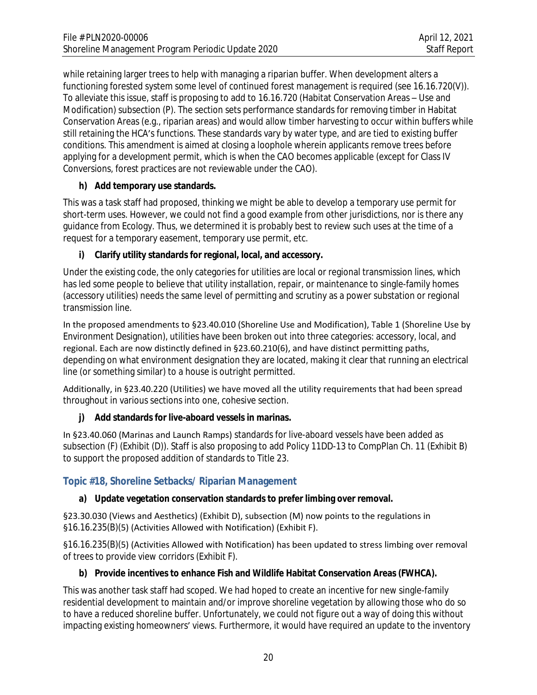while retaining larger trees to help with managing a riparian buffer. When development alters a functioning forested system some level of continued forest management is required (see 16.16.720(V)). To alleviate this issue, staff is proposing to add to 16.16.720 (Habitat Conservation Areas – Use and Modification) subsection (P). The section sets performance standards for removing timber in Habitat Conservation Areas (e.g., riparian areas) and would allow timber harvesting to occur within buffers while still retaining the HCA's functions. These standards vary by water type, and are tied to existing buffer conditions. This amendment is aimed at closing a loophole wherein applicants remove trees before applying for a development permit, which is when the CAO becomes applicable (except for Class IV Conversions, forest practices are not reviewable under the CAO).

## **h) Add temporary use standards.**

This was a task staff had proposed, thinking we might be able to develop a temporary use permit for short-term uses. However, we could not find a good example from other jurisdictions, nor is there any guidance from Ecology. Thus, we determined it is probably best to review such uses at the time of a request for a temporary easement, temporary use permit, etc.

# **i) Clarify utility standards for regional, local, and accessory.**

Under the existing code, the only categories for utilities are local or regional transmission lines, which has led some people to believe that utility installation, repair, or maintenance to single-family homes (accessory utilities) needs the same level of permitting and scrutiny as a power substation or regional transmission line.

In the proposed amendments to §23.40.010 (Shoreline Use and Modification), Table 1 (Shoreline Use by Environment Designation), utilities have been broken out into three categories: accessory, local, and regional. Each are now distinctly defined in §23.60.210(6), and have distinct permitting paths, depending on what environment designation they are located, making it clear that running an electrical line (or something similar) to a house is outright permitted.

Additionally, in §23.40.220 (Utilities) we have moved all the utility requirements that had been spread throughout in various sections into one, cohesive section.

# **j) Add standards for live-aboard vessels in marinas.**

In §23.40.060 (Marinas and Launch Ramps) standards for live-aboard vessels have been added as subsection (F) (Exhibit (D)). Staff is also proposing to add Policy 11DD-13 to CompPlan Ch. 11 (Exhibit B) to support the proposed addition of standards to Title 23.

# **Topic #18, Shoreline Setbacks/ Riparian Management**

## **a) Update vegetation conservation standards to prefer limbing over removal.**

§23.30.030 (Views and Aesthetics) (Exhibit D), subsection (M) now points to the regulations in §16.16.235(B)(5) (Activities Allowed with Notification) (Exhibit F).

§16.16.235(B)(5) (Activities Allowed with Notification) has been updated to stress limbing over removal of trees to provide view corridors (Exhibit F).

## **b) Provide incentives to enhance Fish and Wildlife Habitat Conservation Areas (FWHCA).**

This was another task staff had scoped. We had hoped to create an incentive for new single-family residential development to maintain and/or improve shoreline vegetation by allowing those who do so to have a reduced shoreline buffer. Unfortunately, we could not figure out a way of doing this without impacting existing homeowners' views. Furthermore, it would have required an update to the inventory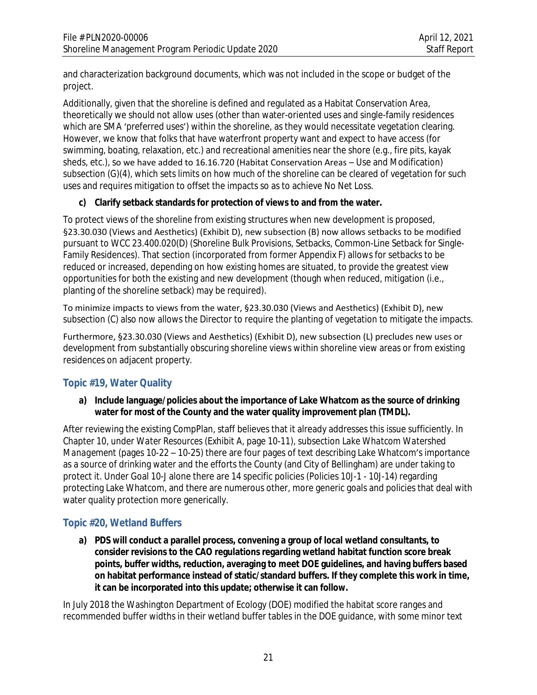and characterization background documents, which was not included in the scope or budget of the project.

Additionally, given that the shoreline is defined and regulated as a Habitat Conservation Area, theoretically we should not allow uses (other than water-oriented uses and single-family residences which are SMA 'preferred uses') within the shoreline, as they would necessitate vegetation clearing. However, we know that folks that have waterfront property want and expect to have access (for swimming, boating, relaxation, etc.) and recreational amenities near the shore (e.g., fire pits, kayak sheds, etc.), so we have added to 16.16.720 (Habitat Conservation Areas – Use and Modification) subsection (G)(4), which sets limits on how much of the shoreline can be cleared of vegetation for such uses and requires mitigation to offset the impacts so as to achieve No Net Loss.

# **c) Clarify setback standards for protection of views to and from the water.**

To protect views of the shoreline from existing structures when new development is proposed, §23.30.030 (Views and Aesthetics) (Exhibit D), new subsection (B) now allows setbacks to be modified pursuant to WCC 23.400.020(D) (Shoreline Bulk Provisions, Setbacks, Common-Line Setback for Single-Family Residences). That section (incorporated from former Appendix F) allows for setbacks to be reduced or increased, depending on how existing homes are situated, to provide the greatest view opportunities for both the existing and new development (though when reduced, mitigation (i.e., planting of the shoreline setback) may be required).

To minimize impacts to views from the water, §23.30.030 (Views and Aesthetics) (Exhibit D), new subsection (C) also now allows the Director to require the planting of vegetation to mitigate the impacts.

Furthermore, §23.30.030 (Views and Aesthetics) (Exhibit D), new subsection (L) precludes new uses or development from substantially obscuring shoreline views within shoreline view areas or from existing residences on adjacent property.

# **Topic #19, Water Quality**

#### **a) Include language/policies about the importance of Lake Whatcom as the source of drinking water for most of the County and the water quality improvement plan (TMDL).**

After reviewing the existing CompPlan, staff believes that it already addresses this issue sufficiently. In Chapter 10, under *Water Resources* (Exhibit A, page 10-11), subsection *Lake Whatcom Watershed Management* (pages 10-22 – 10-25) there are four pages of text describing Lake Whatcom's importance as a source of drinking water and the efforts the County (and City of Bellingham) are under taking to protect it. Under Goal 10-J alone there are 14 specific policies (Policies 10J-1 - 10J-14) regarding protecting Lake Whatcom, and there are numerous other, more generic goals and policies that deal with water quality protection more generically.

## **Topic #20, Wetland Buffers**

**a) PDS will conduct a parallel process, convening a group of local wetland consultants, to consider revisions to the CAO regulations regarding wetland habitat function score break points, buffer widths, reduction, averaging to meet DOE guidelines, and having buffers based on habitat performance instead of static/standard buffers. If they complete this work in time, it can be incorporated into this update; otherwise it can follow.**

In July 2018 the Washington Department of Ecology (DOE) modified the habitat score ranges and recommended buffer widths in their wetland buffer tables in the DOE guidance, with some minor text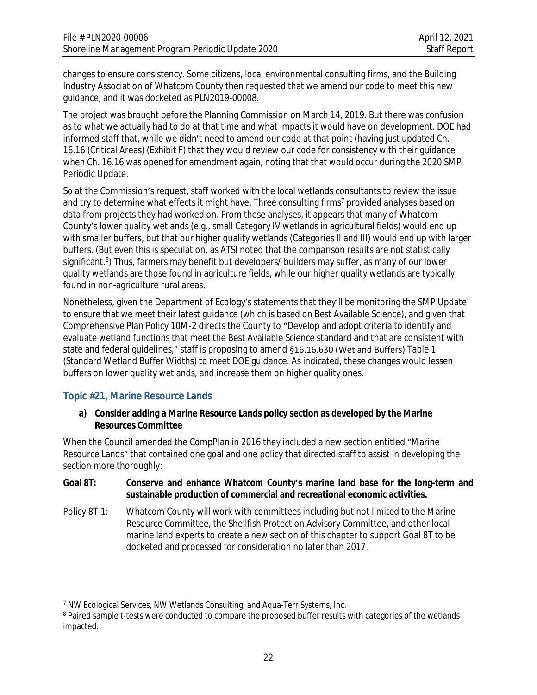changes to ensure consistency. Some citizens, local environmental consulting firms, and the Building Industry Association of Whatcom County then requested that we amend our code to meet this new guidance, and it was docketed as PLN2019-00008.

The project was brought before the Planning Commission on March 14, 2019. But there was confusion as to what we actually *had* to do at that time and what impacts it would have on development. DOE had informed staff that, while we didn't need to amend our code at that point (having just updated Ch. 16.16 (Critical Areas) (Exhibit F) that they would review our code for consistency with their guidance when Ch. 16.16 was opened for amendment again, noting that that would occur during the 2020 SMP Periodic Update.

So at the Commission's request, staff worked with the local wetlands consultants to review the issue and try to determine what effects it might have. Three consulting firms<sup>7</sup> provided analyses based on data from projects they had worked on. From these analyses, it appears that many of Whatcom County's lower quality wetlands (e.g., small Category IV wetlands in agricultural fields) would end up with smaller buffers, but that our higher quality wetlands (Categories II and III) would end up with larger buffers. (But even this is speculation, as ATSI noted that the comparison results are not statistically significant.<sup>8</sup>) Thus, farmers may benefit but developers/ builders may suffer, as many of our lower quality wetlands are those found in agriculture fields, while our higher quality wetlands are typically found in non-agriculture rural areas.

Nonetheless, given the Department of Ecology's statements that they'll be monitoring the SMP Update to ensure that we meet their latest guidance (which is based on Best Available Science), and given that Comprehensive Plan Policy 10M-2 directs the County to "Develop and adopt criteria to identify and evaluate wetland functions that meet the Best Available Science standard and that are consistent with state and federal guidelines," staff is proposing to amend §16.16.630 (Wetland Buffers) Table 1 (Standard Wetland Buffer Widths) to meet DOE guidance. As indicated, these changes would lessen buffers on lower quality wetlands, and increase them on higher quality ones.

## **Topic #21, Marine Resource Lands**

#### **a) Consider adding a Marine Resource Lands policy section as developed by the Marine Resources Committee**

When the Council amended the CompPlan in 2016 they included a new section entitled "Marine Resource Lands" that contained one goal and one policy that directed staff to assist in developing the section more thoroughly:

#### **Goal 8T: Conserve and enhance Whatcom County's marine land base for the long-term and sustainable production of commercial and recreational economic activities.**

Policy 8T-1: Whatcom County will work with committees including but not limited to the Marine Resource Committee, the Shellfish Protection Advisory Committee, and other local marine land experts to create a new section of this chapter to support Goal 8T to be docketed and processed for consideration no later than 2017.

<sup>7</sup> NW Ecological Services, NW Wetlands Consulting, and Aqua-Terr Systems, Inc.

<sup>&</sup>lt;sup>8</sup> Paired sample t-tests were conducted to compare the proposed buffer results with categories of the wetlands impacted.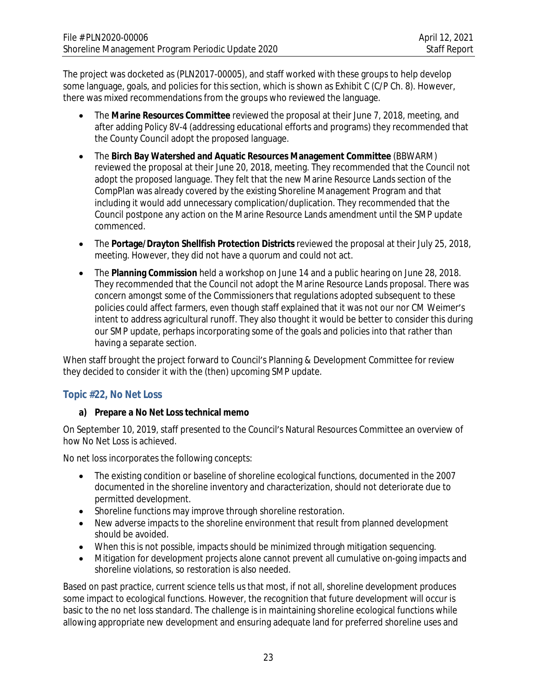The project was docketed as (PLN2017-00005), and staff worked with these groups to help develop some language, goals, and policies for this section, which is shown as Exhibit C (C/P Ch. 8). However, there was mixed recommendations from the groups who reviewed the language.

- The **Marine Resources Committee** reviewed the proposal at their June 7, 2018, meeting, and after adding Policy 8V-4 (addressing educational efforts and programs) they recommended that the County Council adopt the proposed language.
- The **Birch Bay Watershed and Aquatic Resources Management Committee** (BBWARM) reviewed the proposal at their June 20, 2018, meeting. They recommended that the Council *not* adopt the proposed language. They felt that the new Marine Resource Lands section of the CompPlan was already covered by the existing Shoreline Management Program and that including it would add unnecessary complication/duplication. They recommended that the Council postpone any action on the Marine Resource Lands amendment until the SMP update commenced.
- The **Portage/Drayton Shellfish Protection Districts** reviewed the proposal at their July 25, 2018, meeting. However, they did not have a quorum and could not act.
- The **Planning Commission** held a workshop on June 14 and a public hearing on June 28, 2018. They recommended that the Council *not* adopt the Marine Resource Lands proposal. There was concern amongst some of the Commissioners that regulations adopted subsequent to these policies could affect farmers, even though staff explained that it was not our nor CM Weimer's intent to address agricultural runoff. They also thought it would be better to consider this during our SMP update, perhaps incorporating some of the goals and policies into that rather than having a separate section.

When staff brought the project forward to Council's Planning & Development Committee for review they decided to consider it with the (then) upcoming SMP update.

# **Topic #22, No Net Loss**

#### **a) Prepare a No Net Loss technical memo**

On September 10, 2019, staff presented to the Council's Natural Resources Committee an overview of how No Net Loss is achieved.

No net loss incorporates the following concepts:

- The existing condition or baseline of shoreline ecological functions, documented in the 2007 documented in the shoreline inventory and characterization, should not deteriorate due to permitted development.
- Shoreline functions may improve through shoreline restoration.
- New adverse impacts to the shoreline environment that result from planned development should be avoided.
- When this is not possible, impacts should be minimized through mitigation sequencing.
- Mitigation for development projects alone cannot prevent all cumulative on-going impacts and shoreline violations, so restoration is also needed.

Based on past practice, current science tells us that most, if not all, shoreline development produces some impact to ecological functions. However, the recognition that future development will occur is basic to the no net loss standard. The challenge is in maintaining shoreline ecological functions while allowing appropriate new development and ensuring adequate land for preferred shoreline uses and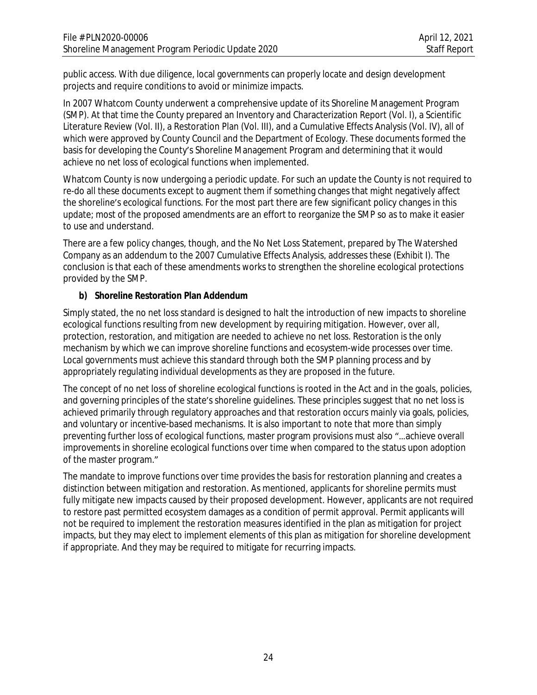public access. With due diligence, local governments can properly locate and design development projects and require conditions to avoid or minimize impacts.

In 2007 Whatcom County underwent a comprehensive update of its Shoreline Management Program (SMP). At that time the County prepared an Inventory and Characterization Report (Vol. I), a Scientific Literature Review (Vol. II), a Restoration Plan (Vol. III), and a Cumulative Effects Analysis (Vol. IV), all of which were approved by County Council and the Department of Ecology. These documents formed the basis for developing the County's Shoreline Management Program and determining that it would achieve no net loss of ecological functions when implemented.

Whatcom County is now undergoing a periodic update. For such an update the County is not required to re-do all these documents except to augment them if something changes that might negatively affect the shoreline's ecological functions. For the most part there are few significant policy changes in this update; most of the proposed amendments are an effort to reorganize the SMP so as to make it easier to use and understand.

There are a few policy changes, though, and the No Net Loss Statement, prepared by The Watershed Company as an addendum to the 2007 Cumulative Effects Analysis, addresses these (Exhibit I). The conclusion is that each of these amendments works to strengthen the shoreline ecological protections provided by the SMP.

#### **b) Shoreline Restoration Plan Addendum**

Simply stated, the no net loss standard is designed to halt the introduction of new impacts to shoreline ecological functions resulting from new development by requiring mitigation. However, over all, protection, restoration, and mitigation are needed to achieve no net loss. Restoration is the only mechanism by which we can improve shoreline functions and ecosystem-wide processes over time. Local governments must achieve this standard through both the SMP planning process and by appropriately regulating individual developments as they are proposed in the future.

The concept of no net loss of shoreline ecological functions is rooted in the Act and in the goals, policies, and governing principles of the state's shoreline guidelines. These principles suggest that no net loss is achieved primarily through regulatory approaches and that restoration occurs mainly via goals, policies, and voluntary or incentive-based mechanisms. It is also important to note that more than simply preventing further loss of ecological functions, master program provisions must also "…achieve overall improvements in shoreline ecological functions over time when compared to the status upon adoption of the master program."

The mandate to improve functions over time provides the basis for restoration planning and creates a distinction between mitigation and restoration. As mentioned, applicants for shoreline permits must fully mitigate new impacts caused by their proposed development. However, applicants are not required to restore past permitted ecosystem damages as a condition of permit approval. Permit applicants will not be required to implement the restoration measures identified in the plan as mitigation for project impacts, but they may elect to implement elements of this plan as mitigation for shoreline development if appropriate. And they may be required to mitigate for recurring impacts.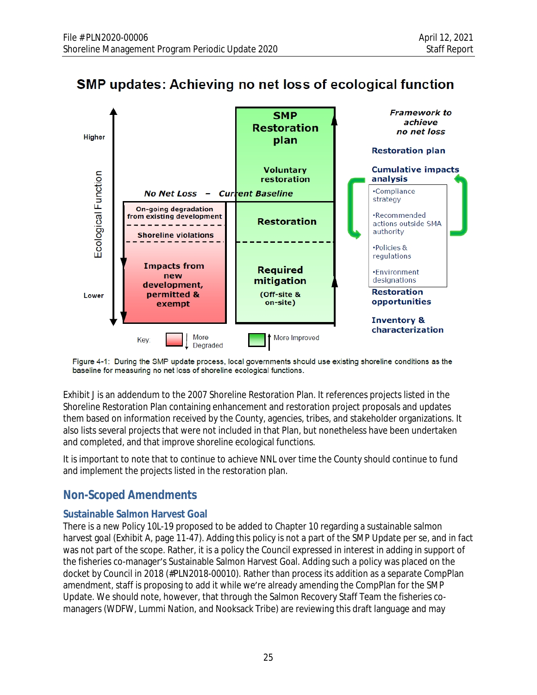



Figure 4-1: During the SMP update process, local governments should use existing shoreline conditions as the baseline for measuring no net loss of shoreline ecological functions.

Exhibit J is an addendum to the 2007 Shoreline Restoration Plan. It references projects listed in the Shoreline Restoration Plan containing enhancement and restoration project proposals and updates them based on information received by the County, agencies, tribes, and stakeholder organizations. It also lists several projects that were not included in that Plan, but nonetheless have been undertaken and completed, and that improve shoreline ecological functions.

It is important to note that to continue to achieve NNL over time the County should continue to fund and implement the projects listed in the restoration plan.

# **Non-Scoped Amendments**

## **Sustainable Salmon Harvest Goal**

There is a new Policy 10L-19 proposed to be added to Chapter 10 regarding a sustainable salmon harvest goal (Exhibit A, page 11-47). Adding this policy is not a part of the SMP Update per se, and in fact was not part of the scope. Rather, it is a policy the Council expressed in interest in adding in support of the fisheries co-manager's Sustainable Salmon Harvest Goal. Adding such a policy was placed on the docket by Council in 2018 (#PLN2018-00010). Rather than process its addition as a separate CompPlan amendment, staff is proposing to add it while we're already amending the CompPlan for the SMP Update. We should note, however, that through the Salmon Recovery Staff Team the fisheries comanagers (WDFW, Lummi Nation, and Nooksack Tribe) are reviewing this draft language and may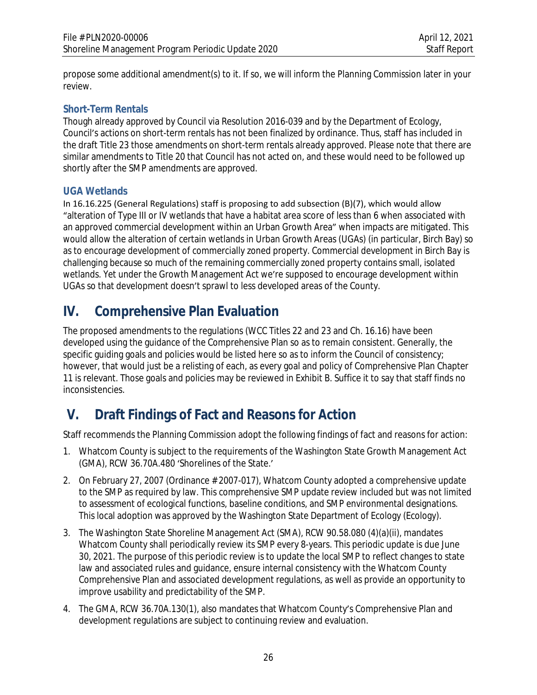propose some additional amendment(s) to it. If so, we will inform the Planning Commission later in your review.

## **Short-Term Rentals**

Though already approved by Council via Resolution 2016-039 and by the Department of Ecology, Council's actions on short-term rentals has not been finalized by ordinance. Thus, staff has included in the draft Title 23 those amendments on short-term rentals already approved. Please note that there are similar amendments to Title 20 that Council has not acted on, and these would need to be followed up shortly after the SMP amendments are approved.

## **UGA Wetlands**

In 16.16.225 (General Regulations) staff is proposing to add subsection (B)(7), which would allow "alteration of Type III or IV wetlands that have a habitat area score of less than 6 when associated with an approved commercial development within an Urban Growth Area" when impacts are mitigated. This would allow the alteration of certain wetlands in Urban Growth Areas (UGAs) (in particular, Birch Bay) so as to encourage development of commercially zoned property. Commercial development in Birch Bay is challenging because so much of the remaining commercially zoned property contains small, isolated wetlands. Yet under the Growth Management Act we're supposed to encourage development within UGAs so that development doesn't sprawl to less developed areas of the County.

# **IV. Comprehensive Plan Evaluation**

The proposed amendments to the regulations (WCC Titles 22 and 23 and Ch. 16.16) have been developed using the guidance of the Comprehensive Plan so as to remain consistent. Generally, the specific guiding goals and policies would be listed here so as to inform the Council of consistency; however, that would just be a relisting of each, as every goal and policy of Comprehensive Plan Chapter 11 is relevant. Those goals and policies may be reviewed in Exhibit B. Suffice it to say that staff finds no inconsistencies.

# **V. Draft Findings of Fact and Reasons for Action**

Staff recommends the Planning Commission adopt the following findings of fact and reasons for action:

- 1. Whatcom County is subject to the requirements of the Washington State Growth Management Act (GMA), RCW 36.70A.480 'Shorelines of the State.'
- 2. On February 27, 2007 (Ordinance # 2007-017), Whatcom County adopted a comprehensive update to the SMP as required by law. This comprehensive SMP update review included but was not limited to assessment of ecological functions, baseline conditions, and SMP environmental designations. This local adoption was approved by the Washington State Department of Ecology (Ecology).
- 3. The Washington State Shoreline Management Act (SMA), RCW 90.58.080 (4)(a)(ii), mandates Whatcom County shall periodically review its SMP every 8-years. This periodic update is due June 30, 2021. The purpose of this periodic review is to update the local SMP to reflect changes to state law and associated rules and guidance, ensure internal consistency with the Whatcom County Comprehensive Plan and associated development regulations, as well as provide an opportunity to improve usability and predictability of the SMP.
- 4. The GMA, RCW 36.70A.130(1), also mandates that Whatcom County's Comprehensive Plan and development regulations are subject to continuing review and evaluation.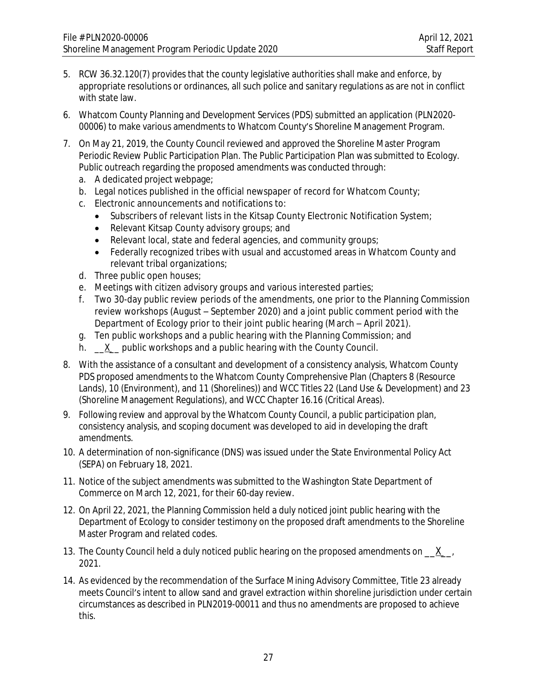- 5. RCW 36.32.120(7) provides that the county legislative authorities shall make and enforce, by appropriate resolutions or ordinances, all such police and sanitary regulations as are not in conflict with state law.
- 6. Whatcom County Planning and Development Services (PDS) submitted an application (PLN2020- 00006) to make various amendments to Whatcom County's Shoreline Management Program.
- 7. On May 21, 2019, the County Council reviewed and approved the Shoreline Master Program Periodic Review Public Participation Plan. The Public Participation Plan was submitted to Ecology. Public outreach regarding the proposed amendments was conducted through:
	- a. A dedicated project webpage;
	- b. Legal notices published in the official newspaper of record for Whatcom County;
	- c. Electronic announcements and notifications to:
		- Subscribers of relevant lists in the Kitsap County Electronic Notification System;
		- Relevant Kitsap County advisory groups; and
		- Relevant local, state and federal agencies, and community groups;
		- Federally recognized tribes with usual and accustomed areas in Whatcom County and relevant tribal organizations;
	- d. Three public open houses;
	- e. Meetings with citizen advisory groups and various interested parties;
	- f. Two 30-day public review periods of the amendments, one prior to the Planning Commission review workshops (August – September 2020) and a joint public comment period with the Department of Ecology prior to their joint public hearing (March – April 2021).
	- g. Ten public workshops and a public hearing with the Planning Commission; and
	- h.  $X$  public workshops and a public hearing with the County Council.
- 8. With the assistance of a consultant and development of a consistency analysis, Whatcom County PDS proposed amendments to the Whatcom County Comprehensive Plan (Chapters 8 (Resource Lands), 10 (Environment), and 11 (Shorelines)) and WCC Titles 22 (Land Use & Development) and 23 (Shoreline Management Regulations), and WCC Chapter 16.16 (Critical Areas).
- 9. Following review and approval by the Whatcom County Council, a public participation plan, consistency analysis, and scoping document was developed to aid in developing the draft amendments.
- 10. A determination of non-significance (DNS) was issued under the State Environmental Policy Act (SEPA) on February 18, 2021.
- 11. Notice of the subject amendments was submitted to the Washington State Department of Commerce on March 12, 2021, for their 60-day review.
- 12. On April 22, 2021, the Planning Commission held a duly noticed joint public hearing with the Department of Ecology to consider testimony on the proposed draft amendments to the Shoreline Master Program and related codes.
- 13. The County Council held a duly noticed public hearing on the proposed amendments on  $X$ , 2021.
- 14. As evidenced by the recommendation of the Surface Mining Advisory Committee, Title 23 already meets Council's intent to allow sand and gravel extraction within shoreline jurisdiction under certain circumstances as described in PLN2019-00011 and thus no amendments are proposed to achieve this.